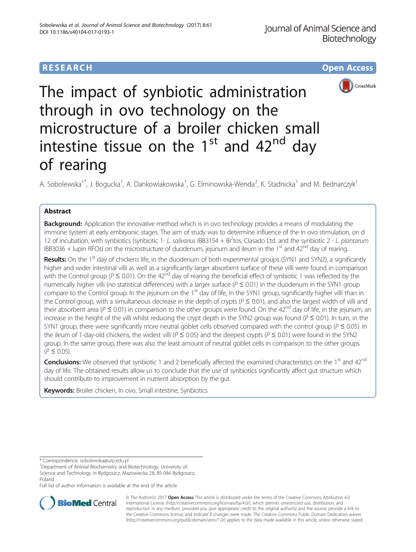# **RESEARCH CHE Open Access**



The impact of synbiotic administration through in ovo technology on the microstructure of a broiler chicken small intestine tissue on the  $1<sup>st</sup>$  and  $42<sup>nd</sup>$  day of rearing

A. Sobolewska<sup>1\*</sup>, J. Bogucka<sup>1</sup>, A. Dankowiakowska<sup>1</sup>, G. Elminowska-Wenda<sup>2</sup>, K. Stadnicka<sup>1</sup> and M. Bednarczyk<sup>1</sup>

## Abstract

**Background:** Application the innovative method which is in ovo technology provides a means of modulating the immune system at early embryonic stages. The aim of study was to determine influence of the in ovo stimulation, on d 12 of incubation, with synbiotics (synbiotic 1-L. salivarius IBB3154 + Bi<sup>2</sup>tos, Clasado Ltd. and the synbiotic 2 - L. plantarum IBB3036 + lupin RFOs) on the microstructure of duodenum, jejunum and ileum in the  $1<sup>st</sup>$  and  $42<sup>nd</sup>$  day of rearing.

Results: On the 1<sup>st</sup> day of chickens life, in the duodenum of both experimental groups (SYN1 and SYN2), a significantly higher and wider intestinal villi as well as a significantly larger absorbent surface of these villi were found in comparison with the Control group ( $P \le 0.01$ ). On the 42<sup>nd</sup> day of rearing the beneficial effect of synbiotic 1 was reflected by the numerically higher villi (no statistical differences) with a larger surface ( $P \le 0.01$ ) in the duodenum in the SYN1 group compare to the Control group. In the jejunum on the 1<sup>st</sup> day of life, in the SYN1 group, significantly higher villi than in the Control group, with a simultaneous decrease in the depth of crypts ( $P \le 0.01$ ), and also the largest width of villi and their absorbent area ( $P \le 0.01$ ) in comparison to the other groups were found. On the 42<sup>nd</sup> day of life, in the jejunum, an increase in the height of the villi whilst reducing the crypt depth in the SYN2 group was found ( $P \le 0.01$ ). In turn, in the SYN1 group, there were significantly more neutral goblet cells observed compared with the control group ( $P \le 0.05$ ). In the ileum of 1-day-old chickens, the widest villi ( $P \le 0.05$ ) and the deepest crypts ( $P \le 0.01$ ) were found in the SYN2 group. In the same group, there was also the least amount of neutral goblet cells in comparison to the other groups  $(P \le 0.05)$ .

Conclusions: We observed that synbiotic 1 and 2 beneficially affected the examined characteristics on the 1<sup>st</sup> and 42<sup>nd</sup> day of life. The obtained results allow us to conclude that the use of synbiotics significantly affect gut structure which should contribute to improvement in nutrient absorption by the gut.

Keywords: Broiler chicken, In ovo, Small intestine, Synbiotics

\* Correspondence: [sobolewska@utp.edu.pl](mailto:sobolewska@utp.edu.pl) <sup>1</sup>

<sup>1</sup>Department of Animal Biochemistry and Biotechnology, University of Science and Technology in Bydgoszcz, Mazowiecka 28, 85-084 Bydgoszcz, Poland

Full list of author information is available at the end of the article



© The Author(s). 2017 **Open Access** This article is distributed under the terms of the Creative Commons Attribution 4.0 International License [\(http://creativecommons.org/licenses/by/4.0/](http://creativecommons.org/licenses/by/4.0/)), which permits unrestricted use, distribution, and reproduction in any medium, provided you give appropriate credit to the original author(s) and the source, provide a link to the Creative Commons license, and indicate if changes were made. The Creative Commons Public Domain Dedication waiver [\(http://creativecommons.org/publicdomain/zero/1.0/](http://creativecommons.org/publicdomain/zero/1.0/)) applies to the data made available in this article, unless otherwise stated.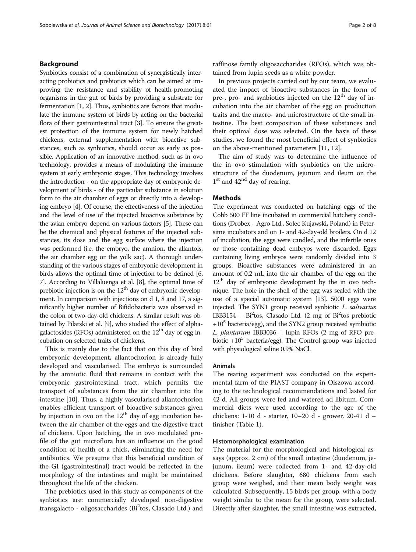## Background

Synbiotics consist of a combination of synergistically interacting probiotics and prebiotics which can be aimed at improving the resistance and stability of health-promoting organisms in the gut of birds by providing a substrate for fermentation [\[1, 2](#page-7-0)]. Thus, synbiotics are factors that modulate the immune system of birds by acting on the bacterial flora of their gastrointestinal tract [\[3\]](#page-7-0). To ensure the greatest protection of the immune system for newly hatched chickens, external supplementation with bioactive substances, such as synbiotics, should occur as early as possible. Application of an innovative method, such as in ovo technology, provides a means of modulating the immune system at early embryonic stages. This technology involves the introduction - on the appropriate day of embryonic development of birds - of the particular substance in solution form to the air chamber of eggs or directly into a developing embryo [\[4](#page-7-0)]. Of course, the effectiveness of the injection and the level of use of the injected bioactive substance by the avian embryo depend on various factors [\[5\]](#page-7-0). These can be the chemical and physical features of the injected substances, its dose and the egg surface where the injection was performed (i.e. the embryo, the amnion, the allantois, the air chamber egg or the yolk sac). A thorough understanding of the various stages of embryonic development in birds allows the optimal time of injection to be defined [[6](#page-7-0), [7](#page-7-0)]. According to Villaluenga et al. [[8\]](#page-7-0), the optimal time of prebiotic injection is on the  $12<sup>th</sup>$  day of embryonic development. In comparison with injections on d 1, 8 and 17, a significantly higher number of Bifidobacteria was observed in the colon of two-day-old chickens. A similar result was obtained by Pilarski et al. [\[9\]](#page-7-0), who studied the effect of alphagalactosides (RFOs) administered on the  $12<sup>th</sup>$  day of egg incubation on selected traits of chickens.

This is mainly due to the fact that on this day of bird embryonic development, allantochorion is already fully developed and vascularised. The embryo is surrounded by the amniotic fluid that remains in contact with the embryonic gastrointestinal tract, which permits the transport of substances from the air chamber into the intestine [\[10\]](#page-7-0). Thus, a highly vascularised allantochorion enables efficient transport of bioactive substances given by injection in ovo on the 12<sup>th</sup> day of egg incubation between the air chamber of the eggs and the digestive tract of chickens. Upon hatching, the in ovo modulated profile of the gut microflora has an influence on the good condition of health of a chick, eliminating the need for antibiotics. We presume that this beneficial condition of the GI (gastrointestinal) tract would be reflected in the morphology of the intestines and might be maintained throughout the life of the chicken.

The prebiotics used in this study as components of the synbiotics are: commercially developed non-digestive transgalacto - oligosaccharides (Bi<sup>2</sup>tos, Clasado Ltd.) and

raffinose family oligosaccharides (RFOs), which was obtained from lupin seeds as a white powder.

In previous projects carried out by our team, we evaluated the impact of bioactive substances in the form of pre-, pro- and synbiotics injected on the  $12<sup>th</sup>$  day of incubation into the air chamber of the egg on production traits and the macro- and microstructure of the small intestine. The best composition of these substances and their optimal dose was selected. On the basis of these studies, we found the most beneficial effect of synbiotics on the above-mentioned parameters [\[11](#page-7-0), [12](#page-7-0)].

The aim of study was to determine the influence of the in ovo stimulation with synbiotics on the microstructure of the duodenum, jejunum and ileum on the  $1<sup>st</sup>$  and  $42<sup>nd</sup>$  day of rearing.

## Methods

The experiment was conducted on hatching eggs of the Cobb 500 FF line incubated in commercial hatchery conditions (Drobex - Agro Ltd., Solec Kujawski, Poland) in Petersime incubators and on 1- and 42-day-old broilers. On d 12 of incubation, the eggs were candled, and the infertile ones or those containing dead embryos were discarded. Eggs containing living embryos were randomly divided into 3 groups. Bioactive substances were administered in an amount of 0.2 mL into the air chamber of the egg on the  $12<sup>th</sup>$  day of embryonic development by the in ovo technique. The hole in the shell of the egg was sealed with the use of a special automatic system [[13\]](#page-7-0). 5000 eggs were injected. The SYN1 group received synbiotic L. salivarius IBB3154 + Bi<sup>2</sup>tos, Clasado Ltd. (2 mg of Bi<sup>2</sup>tos prebiotic  $+10^5$  bacteria/egg), and the SYN2 group received symbiotic L. plantarum IBB3036 + lupin RFOs (2 mg of RFO prebiotic  $+10^5$  bacteria/egg). The Control group was injected with physiological saline 0.9% NaCl.

## Animals

The rearing experiment was conducted on the experimental farm of the PIAST company in Olszowa according to the technological recommendations and lasted for 42 d. All groups were fed and watered ad libitum. Commercial diets were used according to the age of the chickens: 1-10 d - starter, 10–20 d - grower, 20-41 d – finisher (Table [1](#page-2-0)).

## Histomorphological examination

The material for the morphological and histological assays (approx. 2 cm) of the small intestine (duodenum, jejunum, ileum) were collected from 1- and 42-day-old chickens. Before slaughter, 680 chickens from each group were weighed, and their mean body weight was calculated. Subsequently, 15 birds per group, with a body weight similar to the mean for the group, were selected. Directly after slaughter, the small intestine was extracted,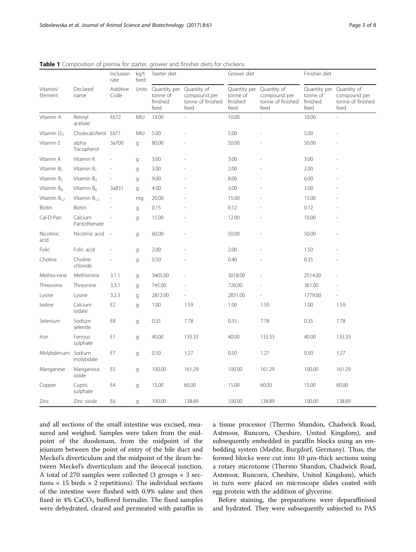|                     |                         | Inclusion<br>rate        | kg/t<br>feed | Starter diet                                 |                                                          | Grower diet                                  |                                                          | Finisher diet                                |                                                          |
|---------------------|-------------------------|--------------------------|--------------|----------------------------------------------|----------------------------------------------------------|----------------------------------------------|----------------------------------------------------------|----------------------------------------------|----------------------------------------------------------|
| Vitamin/<br>Element | Declared<br>name        | Additive<br>Code         | Units        | Quantity per<br>tonne of<br>finished<br>feed | Quantity of<br>compound per<br>tonne of finished<br>feed | Quantity per<br>tonne of<br>finished<br>feed | Quantity of<br>compound per<br>tonne of finished<br>feed | Quantity per<br>tonne of<br>finished<br>feed | Quantity of<br>compound per<br>tonne of finished<br>feed |
| Vitamin A           | Retinyl<br>acetate      | E672                     | MIU          | 13.00                                        |                                                          | 10.00                                        | $\overline{a}$                                           | 10.00                                        | $\overline{\phantom{a}}$                                 |
| Vitamin $D_3$       | Cholecalciferol         | E671                     | MIU          | 5.00                                         |                                                          | 5.00                                         |                                                          | 5.00                                         |                                                          |
| Vitamin E           | alpha<br>Tocopherol     | 3a700                    | g            | 80.00                                        |                                                          | 50.00                                        |                                                          | 50.00                                        |                                                          |
| Vitamin K           | Vitamin K               |                          | g            | 3.00                                         |                                                          | 3.00                                         |                                                          | 3.00                                         |                                                          |
| Vitamin $B_1$       | Vitamin $B_1$           | $\overline{a}$           | g            | 3.00                                         |                                                          | 2.00                                         |                                                          | 2.00                                         |                                                          |
| Vitamin $B_2$       | Vitamin $B_2$           |                          | g            | 9.00                                         |                                                          | 8.00                                         |                                                          | 6.00                                         |                                                          |
| Vitamin $B_6$       | Vitamin B <sub>6</sub>  | 3a831                    | g            | 4.00                                         |                                                          | 3.00                                         |                                                          | 3.00                                         |                                                          |
| Vitamin $B_{12}$    | Vitamin $B_{12}$        | $\overline{\phantom{a}}$ | mg           | 20.00                                        |                                                          | 15.00                                        |                                                          | 15.00                                        |                                                          |
| Biotin              | Biotin                  |                          | g            | 0.15                                         |                                                          | 0.12                                         |                                                          | 0.12                                         |                                                          |
| Cal-D-Pan           | Calcium<br>Pantothenate |                          | g            | 15.00                                        |                                                          | 12.00                                        |                                                          | 10.00                                        |                                                          |
| Nicotinic<br>acid   | Nicotinic acid          | $\overline{\phantom{a}}$ | g            | 60.00                                        |                                                          | 50.00                                        |                                                          | 50.00                                        |                                                          |
| Folic               | Folic acid              |                          | g            | 2.00                                         |                                                          | 2.00                                         |                                                          | 1.50                                         |                                                          |
| Choline             | Choline<br>chloride     |                          | g            | 0.50                                         |                                                          | 0.40                                         |                                                          | 0.35                                         |                                                          |
| Methio-nine         | Methionine              | 3.1.1                    | g            | 3405.00                                      |                                                          | 3018.00                                      |                                                          | 2514.00                                      |                                                          |
| Threonine           | Threonine               | 3.3.1                    | g            | 745.00                                       |                                                          | 726.00                                       |                                                          | 361.00                                       |                                                          |
| Lysine              | Lysine                  | 3.2.3                    | g            | 2812.00                                      |                                                          | 2831.00                                      |                                                          | 1779.00                                      |                                                          |
| lodine              | Calcium<br>iodate       | E <sub>2</sub>           | g            | 1.00                                         | 1.59                                                     | 1.00                                         | 1.59                                                     | 1.00                                         | 1.59                                                     |
| Selenium            | Sodium<br>selenite      | E8                       | g            | 0.35                                         | 7.78                                                     | 0.35                                         | 7.78                                                     | 0.35                                         | 7.78                                                     |
| Iron                | Ferrous<br>sulphate     | E1                       | g            | 40.00                                        | 133.33                                                   | 40.00                                        | 133.33                                                   | 40.00                                        | 133.33                                                   |
| Molybdenum          | Sodium<br>molybdate     | E7                       | g            | 0.50                                         | 1.27                                                     | 0.50                                         | 1.27                                                     | 0.50                                         | 1.27                                                     |
| Manganese           | Manganous<br>oxide      | E <sub>5</sub>           | g            | 100.00                                       | 161.29                                                   | 100.00                                       | 161.29                                                   | 100.00                                       | 161.29                                                   |
| Copper              | Cupric<br>sulphate      | E4                       | g            | 15.00                                        | 60.00                                                    | 15.00                                        | 60.00                                                    | 15.00                                        | 60.00                                                    |
| Zinc                | Zinc oxide              | E <sub>6</sub>           | g            | 100.00                                       | 138.89                                                   | 100.00                                       | 138.89                                                   | 100.00                                       | 138.89                                                   |

<span id="page-2-0"></span>Table 1 Composition of premix for starter, grower and finisher diets for chickens

and all sections of the small intestine was excised, measured and weighed. Samples were taken from the midpoint of the duodenum, from the midpoint of the jejunum between the point of entry of the bile duct and Meckel's diverticulum and the midpoint of the ileum between Meckel's diverticulum and the ileocecal junction. A total of 270 samples were collected (3 groups × 3 sections  $\times$  15 birds  $\times$  2 repetitions). The individual sections of the intestine were flushed with 0.9% saline and then fixed in  $4\%$  CaCO<sub>3</sub> buffered formalin. The fixed samples were dehydrated, cleared and permeated with paraffin in a tissue processor (Thermo Shandon, Chadwick Road, Astmoor, Runcorn, Cheshire, United Kingdom), and subsequently embedded in paraffin blocks using an embedding system (Medite, Burgdorf, Germany). Thus, the formed blocks were cut into 10 μm-thick sections using a rotary microtome (Thermo Shandon, Chadwick Road, Astmoor, Runcorn, Cheshire, United Kingdom), which in turn were placed on microscope slides coated with egg protein with the addition of glycerine.

Before staining, the preparations were deparaffinised and hydrated. They were subsequently subjected to PAS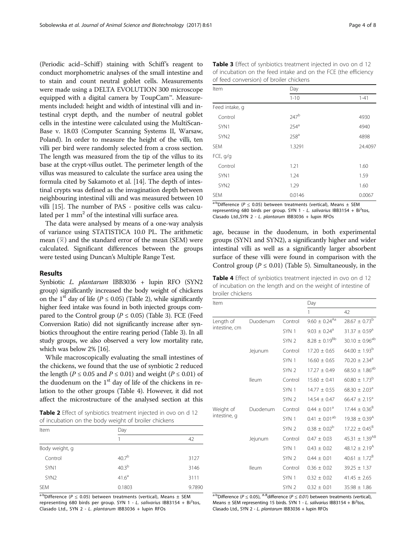<span id="page-3-0"></span>(Periodic acid–Schiff) staining with Schiff's reagent to conduct morphometric analyses of the small intestine and to stain and count neutral goblet cells. Measurements were made using a DELTA EVOLUTION 300 microscope equipped with a digital camera by ToupCam™. Measurements included: height and width of intestinal villi and intestinal crypt depth, and the number of neutral goblet cells in the intestine were calculated using the MultiScan-Base v. 18.03 (Computer Scanning Systems II, Warsaw, Poland). In order to measure the height of the villi, ten villi per bird were randomly selected from a cross section. The length was measured from the tip of the villus to its base at the crypt-villus outlet. The perimeter length of the villus was measured to calculate the surface area using the formula cited by Sakamoto et al. [\[14\]](#page-7-0). The depth of intestinal crypts was defined as the invagination depth between neighbouring intestinal villi and was measured between 10 villi [[15\]](#page-7-0). The number of PAS - positive cells was calculated per  $1 \text{ mm}^2$  of the intestinal villi surface area.

The data were analysed by means of a one-way analysis of variance using STATISTICA 10.0 PL. The arithmetic mean  $(\bar{x})$  and the standard error of the mean (SEM) were calculated. Significant differences between the groups were tested using Duncan's Multiple Range Test.

## Results

Synbiotic L. plantarum IBB3036 + lupin RFO (SYN2 group) significantly increased the body weight of chickens on the 1<sup>st</sup> day of life ( $P \le 0.05$ ) (Table 2), while significantly higher feed intake was found in both injected groups compared to the Control group ( $P \le 0.05$ ) (Table 3). FCE (Feed Conversion Ratio) did not significantly increase after synbiotics throughout the entire rearing period (Table 3). In all study groups, we also observed a very low mortality rate, which was below 2% [[16](#page-7-0)].

While macroscopically evaluating the small intestines of the chickens, we found that the use of synbiotic 2 reduced the length ( $P \le 0.05$  and  $P \le 0.01$ ) and weight ( $P \le 0.01$ ) of the duodenum on the  $1<sup>st</sup>$  day of life of the chickens in relation to the other groups (Table 4). However, it did not affect the microstructure of the analysed section at this

Table 2 Effect of synbiotics treatment injected in ovo on d 12 of incubation on the body weight of broiler chickens

| Item             | Day               |        |  |
|------------------|-------------------|--------|--|
|                  |                   | 42     |  |
| Body weight, g   |                   |        |  |
| Control          | $40.7^{b}$        | 3127   |  |
| SYN1             | 40.3 <sup>b</sup> | 3146   |  |
| SYN <sub>2</sub> | 41.6 <sup>a</sup> | 3111   |  |
| <b>SEM</b>       | 0.1803            | 9.7890 |  |

a-bDifference ( $P \le 0.05$ ) between treatments (vertical), Means  $\pm$  SEM representing 680 birds per group. SYN 1 - L. salivarius IBB3154 + Bi $^2$ tos, Clasado Ltd., SYN 2 - L. plantarum IBB3036 + lupin RFOs

| Item             | Day              |          |  |
|------------------|------------------|----------|--|
|                  | $1 - 10$         | $1 - 41$ |  |
| Feed intake, q   |                  |          |  |
| Control          | 247 <sup>b</sup> | 4930     |  |
| SYN1             | $254^a$          | 4940     |  |
| SYN <sub>2</sub> | 258 <sup>a</sup> | 4898     |  |
| <b>SEM</b>       | 1.3291           | 24.4097  |  |
| FCE, g/g         |                  |          |  |
| Control          | 1.21             | 1.60     |  |
| SYN1             | 1.24             | 1.59     |  |
| SYN <sub>2</sub> | 1.29             | 1.60     |  |
| <b>SEM</b>       | 0.0146           | 0.0067   |  |

 $a-b$ Difference (P < 0.05) between treatments (vertical), Means  $\pm$  SEM representing 680 birds per group. SYN 1 - L. salivarius IBB3154 + Bi<sup>2</sup>tos, Clasado Ltd.,SYN 2 - L. plantarum IBB3036 + lupin RFOs

age, because in the duodenum, in both experimental groups (SYN1 and SYN2), a significantly higher and wider intestinal villi as well as a significantly larger absorbent surface of these villi were found in comparison with the Control group ( $P \leq 0.01$ ) (Table [5\)](#page-4-0). Simultaneously, in the

Table 4 Effect of synbiotics treatment injected in ovo on d 12 of incubation on the length and on the weight of intestine of broiler chickens

| Item                       |          |                  | Day                          |                               |  |
|----------------------------|----------|------------------|------------------------------|-------------------------------|--|
|                            |          |                  | 1                            | 42                            |  |
| Length of<br>intestine, cm | Duodenum | Control          | $9.60 \pm 0.24^{Aa}$         | $28.67 \pm 0.73^{\rm b}$      |  |
|                            |          | SYN <sub>1</sub> | $9.03 \pm 0.24$ <sup>a</sup> | $31.37 \pm 0.59^a$            |  |
|                            |          | SYN <sub>2</sub> | $8.28 \pm 0.19^{8b}$         | $30.10 \pm 0.96^{ab}$         |  |
|                            | Jejunum  | Control          | $17.20 \pm 0.65$             | $64.00 \pm 1.93^{\rm b}$      |  |
|                            |          | SYN 1            | $16.60 \pm 0.65$             | $70.20 \pm 2.34^{\circ}$      |  |
|                            |          | SYN <sub>2</sub> | $17.27 \pm 0.49$             | $68.50 \pm 1.86^{ab}$         |  |
|                            | lleum    | Control          | $15.60 \pm 0.41$             | $60.80 \pm 1.73^{\rm b}$      |  |
|                            |          | SYN 1            | $14.77 \pm 0.55$             | $68.30 \pm 2.03^{\circ}$      |  |
|                            |          | SYN <sub>2</sub> | $14.54 \pm 0.47$             | $66.47 \pm 2.15^{\circ}$      |  |
| Weight of<br>intestine, q  | Duodenum | Control          | $0.44 \pm 0.01$ <sup>a</sup> | $17.44 \pm 0.36^B$            |  |
|                            |          | SYN 1            | $0.41 \pm 0.01^{ab}$         | $19.38 \pm 0.39$ <sup>A</sup> |  |
|                            |          | SYN <sub>2</sub> | $0.38 \pm 0.02^b$            | $17.22 \pm 0.45^8$            |  |
|                            | Jejunum  | Control          | $0.47 \pm 0.03$              | $45.31 \pm 1.39^{AB}$         |  |
|                            |          | SYN <sub>1</sub> | $0.43 \pm 0.02$              | $48.12 \pm 2.19^{\text{A}}$   |  |
|                            |          | SYN <sub>2</sub> | $0.44 \pm 0.01$              | $40.61 \pm 1.72^B$            |  |
|                            | lleum    | Control          | $0.36 \pm 0.02$              | $39.25 \pm 1.37$              |  |
|                            |          | SYN <sub>1</sub> | $0.32 \pm 0.02$              | $41.45 \pm 2.65$              |  |
|                            |          | SYN <sub>2</sub> | $0.32 \pm 0.01$              | $35.98 \pm 1.86$              |  |

<sup>a-b</sup>Difference ( $P \le 0.05$ ), <sup>A-B</sup>difference ( $P \le 0.01$ ) between treatments (vertical), Means  $\pm$  SEM representing 15 birds. SYN 1 - L. salivarius IBB3154 + Bi<sup>2</sup>tos, Clasado Ltd., SYN 2 - L. plantarum IBB3036 + lupin RFOs

| Table 3 Effect of synbiotics treatment injected in ovo on d 12  |
|-----------------------------------------------------------------|
| of incubation on the feed intake and on the FCE (the efficiency |
| of feed conversion) of broiler chickens                         |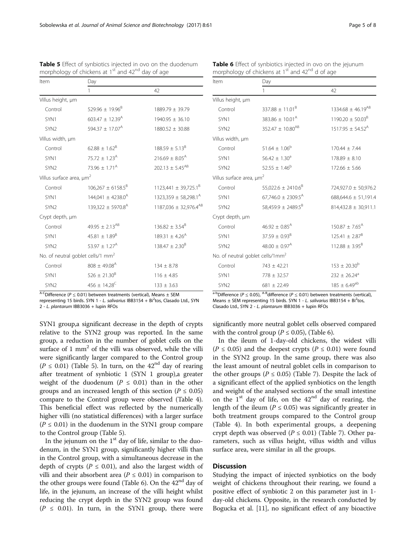| Item                                 | Day                                           |                                 |  |  |
|--------------------------------------|-----------------------------------------------|---------------------------------|--|--|
|                                      | 1                                             | 42                              |  |  |
| Villus height, um                    |                                               |                                 |  |  |
| Control                              | 529.96 $\pm$ 19.96 <sup>B</sup>               | 1889.79 ± 39.79                 |  |  |
| SYN1                                 | 603.47 $\pm$ 12.39 <sup>A</sup>               | $1940.95 + 36.10$               |  |  |
| SYN <sub>2</sub>                     | $594.37 + 17.07A$                             | $1880.52 \pm 30.88$             |  |  |
| Villus width, µm                     |                                               |                                 |  |  |
| Control                              | $62.88 \pm 1.62^8$                            | $188.59 \pm 5.13^B$             |  |  |
| SYN1                                 | $75.72 + 1.23^{\text{A}}$                     | $216.69 + 8.05^{\text{A}}$      |  |  |
| SYN <sub>2</sub>                     | $73.96 + 1.71^{\text{A}}$                     | $202.13 \pm 5.45^{AB}$          |  |  |
| Villus surface area, µm <sup>2</sup> |                                               |                                 |  |  |
| Control                              | $106,267 \pm 6158.5^B$                        | $1123,441 \pm 39,725.1^B$       |  |  |
| SYN1                                 | $144,041 \pm 4238.0$ <sup>A</sup>             | $1323,359 \pm 58,298.1^{\circ}$ |  |  |
| SYN <sub>2</sub>                     | $139,322 \pm 5970.8$ <sup>A</sup>             | $1187,036 \pm 32,976.4^{AB}$    |  |  |
| Crypt depth, µm                      |                                               |                                 |  |  |
| Control                              | $49.95 + 2.13^{AB}$                           | $136.82 + 3.54^8$               |  |  |
| SYN1                                 | $45.81 \pm 1.89^{\text{B}}$                   | $189.31 \pm 4.26$ <sup>A</sup>  |  |  |
| SYN <sub>2</sub>                     | 53.97 $\pm$ 1.27 <sup>A</sup>                 | $138.47 + 2.30^8$               |  |  |
|                                      | No. of neutral goblet cells/1 mm <sup>2</sup> |                                 |  |  |
| Control                              | $808 \pm 49.08^{\text{A}}$                    | $134 \pm 8.78$                  |  |  |
| SYN1                                 | $526 \pm 21.30^8$                             | $116 \pm 4.85$                  |  |  |
| SYN <sub>2</sub>                     | $456 + 14.28^C$                               | $133 \pm 3.63$                  |  |  |

<span id="page-4-0"></span>Table 5 Effect of synbiotics injected in ovo on the duodenum morphology of chickens at  $1<sup>st</sup>$  and  $42<sup>nd</sup>$  day of age

|                                      | 1                                            | 42                             |
|--------------------------------------|----------------------------------------------|--------------------------------|
| Villus height, um                    |                                              |                                |
| Control                              | 337.88 $\pm$ 11.01 <sup>B</sup>              | $1334.68 \pm 46.19^{AB}$       |
| SYN1                                 | $383.86 + 10.01^{\text{A}}$                  | $1190.20 \pm 50.03^{\circ}$    |
| SYN <sub>2</sub>                     | $352.47 \pm 10.80$ <sup>AB</sup>             | $1517.95 \pm 54.52^{\text{A}}$ |
| Villus width, µm                     |                                              |                                |
| Control                              | $51.64 + 1.06^b$                             | $170.44 + 7.44$                |
| SYN1                                 | $56.42 \pm 1.30$ <sup>a</sup>                | $178.89 \pm 8.10$              |
| SYN <sub>2</sub>                     | $52.55 + 1.46^b$                             | $172.66 + 5.66$                |
| Villus surface area, µm <sup>2</sup> |                                              |                                |
| Control                              | $55,022.6 \pm 2410.6^B$                      | 724,927.0 ± 50,976.2           |
| SYN1                                 | $67.746.0 \pm 2309.5$ <sup>A</sup>           | $688,644.6 \pm 51,191.4$       |
| SYN <sub>2</sub>                     | 58,459.9 ± 2489.5 <sup>B</sup>               | $814,432.8 \pm 30,911.1$       |
| Crypt depth, µm                      |                                              |                                |
| Control                              | $46.92 \pm 0.85$ <sup>A</sup>                | $150.87 \pm 7.65$ <sup>A</sup> |
| SYN1                                 | $37.59 \pm 0.93^B$                           | $125.41 \pm 2.87^8$            |
| SYN <sub>2</sub>                     | $48.00 + 0.97A$                              | $112.88 \pm 3.95^B$            |
|                                      | No. of neutral goblet cells/1mm <sup>2</sup> |                                |
| Control                              | 743 ± 42.21                                  | $153 \pm 20.30^{b}$            |
| SYN1                                 | $778 \pm 32.57$                              | $232 + 26.24$ <sup>a</sup>     |
| SYN <sub>2</sub>                     | $681 \pm 22.49$                              | $185 \pm 6.49^{ab}$            |

Table 6 Effect of synbiotics injected in ovo on the jejunum

morphology of chickens at  $1<sup>st</sup>$  and  $42<sup>nd</sup>$  d of age

Item Day

<sup>A-C</sup>Difference ( $P < 0.01$ ) between treatments (vertical), Means  $\pm$  SEM

representing 15 birds. SYN 1 - L. salivarius IBB3154 + Bi<sup>2</sup>tos, Clasado Ltd., SYN 2 - L. plantarum IBB3036 + lupin RFOs

SYN1 group,a significant decrease in the depth of crypts relative to the SYN2 group was reported. In the same group, a reduction in the number of goblet cells on the surface of 1 mm<sup>2</sup> of the villi was observed, while the villi were significantly larger compared to the Control group  $(P \le 0.01)$  (Table 5). In turn, on the 42<sup>nd</sup> day of rearing after treatment of synbiotic 1 (SYN 1 group),a greater weight of the duodenum ( $P \leq 0.01$ ) than in the other groups and an increased length of this section ( $P \leq 0.05$ ) compare to the Control group were observed (Table [4](#page-3-0)). This beneficial effect was reflected by the numerically higher villi (no statistical differences) with a larger surface  $(P \le 0.01)$  in the duodenum in the SYN1 group compare to the Control group (Table 5).

In the jejunum on the  $1<sup>st</sup>$  day of life, similar to the duodenum, in the SYN1 group, significantly higher villi than in the Control group, with a simultaneous decrease in the depth of crypts ( $P \leq 0.01$ ), and also the largest width of villi and their absorbent area ( $P \leq 0.01$ ) in comparison to the other groups were found (Table 6). On the  $42<sup>nd</sup>$  day of life, in the jejunum, an increase of the villi height whilst reducing the crypt depth in the SYN2 group was found  $(P \le 0.01)$ . In turn, in the SYN1 group, there were  $a-b$ Difference (P < 0.05),  $A-B$ difference (P < 0.01) between treatments (vertical), Means  $\pm$  SEM representing 15 birds. SYN 1 - L. salivarius IBB3154 + Bi<sup>2</sup>tos, Clasado Ltd., SYN 2 - L. plantarum IBB3036 + lupin RFOs

significantly more neutral goblet cells observed compared with the control group ( $P \le 0.05$ ), (Table 6).

In the ileum of 1-day-old chickens, the widest villi ( $P \le 0.05$ ) and the deepest crypts ( $P \le 0.01$ ) were found in the SYN2 group. In the same group, there was also the least amount of neutral goblet cells in comparison to the other groups ( $P \le 0.05$ ) (Table [7](#page-5-0)). Despite the lack of a significant effect of the applied synbiotics on the length and weight of the analysed sections of the small intestine on the  $1<sup>st</sup>$  day of life, on the  $42<sup>nd</sup>$  day of rearing, the length of the ileum ( $P \le 0.05$ ) was significantly greater in both treatment groups compared to the Control group (Table [4\)](#page-3-0). In both experimental groups, a deepening crypt depth was observed ( $P \le 0.01$ ) (Table [7\)](#page-5-0). Other parameters, such as villus height, villus width and villus surface area, were similar in all the groups.

### Discussion

Studying the impact of injected synbiotics on the body weight of chickens throughout their rearing, we found a positive effect of synbiotic 2 on this parameter just in 1 day-old chickens. Opposite, in the research conducted by Bogucka et al. [\[11\]](#page-7-0), no significant effect of any bioactive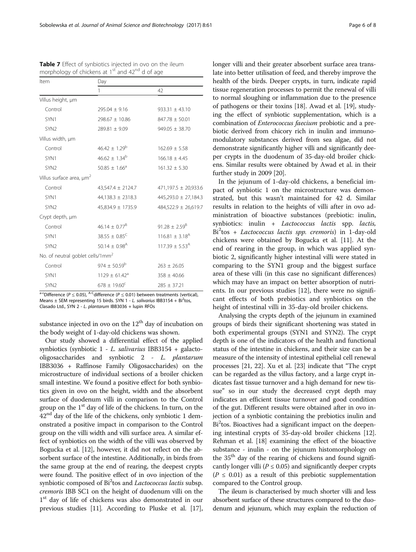$\rm{^cDiff}$ erence ( $P < 0.05$ ),  $\rm{^A{}^-}$ difference ( $P < 0.01$ ) between treatments (vertical), Means ± SEM representing 15 birds. SYN 1 - L. salivarius IBB3154 + Bi<sup>2</sup>tos, Clasado Ltd., SYN 2 - L. plantarum IBB3036 + lupin RFOs

substance injected in ovo on the  $12<sup>th</sup>$  day of incubation on the body weight of 1-day-old chickens was shown.

Our study showed a differential effect of the applied synbiotics (synbiotic 1 - L. salivarius IBB3154 + galactooligosaccharides and synbiotic 2 - L. plantarum IBB3036 + Raffinose Family Oligosaccharides) on the microstructure of individual sections of a broiler chicken small intestine. We found a positive effect for both synbiotics given in ovo on the height, width and the absorbent surface of duodenum villi in comparison to the Control group on the  $1<sup>st</sup>$  day of life of the chickens. In turn, on the  $42<sup>nd</sup>$  day of the life of the chickens, only synbiotic 1 demonstrated a positive impact in comparison to the Control group on the villi width and villi surface area. A similar effect of synbiotics on the width of the villi was observed by Bogucka et al. [\[12](#page-7-0)], however, it did not reflect on the absorbent surface of the intestine. Additionally, in birds from the same group at the end of rearing, the deepest crypts were found. The positive effect of in ovo injection of the synbiotic composed of Bi<sup>2</sup>tos and Lactococcus lactis subsp. cremoris IBB SC1 on the height of duodenum villi on the 1<sup>st</sup> day of life of chickens was also demonstrated in our previous studies [\[11](#page-7-0)]. According to Pluske et al. [[17](#page-7-0)], longer villi and their greater absorbent surface area translate into better utilisation of feed, and thereby improve the health of the birds. Deeper crypts, in turn, indicate rapid tissue regeneration processes to permit the renewal of villi to normal sloughing or inflammation due to the presence of pathogens or their toxins [[18](#page-7-0)]. Awad et al. [\[19](#page-7-0)], studying the effect of synbiotic supplementation, which is a combination of Enterococcus faecium probiotic and a prebiotic derived from chicory rich in inulin and immunomodulatory substances derived from sea algae, did not demonstrate significantly higher villi and significantly deeper crypts in the duodenum of 35-day-old broiler chickens. Similar results were obtained by Awad et al. in their further study in 2009 [[20](#page-7-0)].

In the jejunum of 1-day-old chickens, a beneficial impact of synbiotic 1 on the microstructure was demonstrated, but this wasn't maintained for 42 d. Similar results in relation to the heights of villi after in ovo administration of bioactive substances (prebiotic: inulin, synbiotics: inulin + Lactococcus lactis spp. lactis, Bi<sup>2</sup>tos + Lactococcus lactis spp. cremoris) in 1-day-old chickens were obtained by Bogucka et al. [\[11\]](#page-7-0). At the end of rearing in the group, in which was applied synbiotic 2, significantly higher intestinal villi were stated in comparing to the SYN1 group and the biggest surface area of these villi (in this case no significant differences) which may have an impact on better absorption of nutrients. In our previous studies [\[12](#page-7-0)], there were no significant effects of both prebiotics and synbiotics on the height of intestinal villi in 35-day-old broiler chickens.

Analysing the crypts depth of the jejunum in examined groups of birds their significant shortening was stated in both experimental groups (SYN1 and SYN2). The crypt depth is one of the indicators of the health and functional status of the intestine in chickens, and their size can be a measure of the intensity of intestinal epithelial cell renewal processes [\[21, 22\]](#page-7-0). Xu et al. [[23](#page-7-0)] indicate that "The crypt can be regarded as the villus factory, and a large crypt indicates fast tissue turnover and a high demand for new tissue" so in our study the decreased crypt depth may indicates an efficient tissue turnover and good condition of the gut. Different results were obtained after in ovo injection of a synbiotic containing the prebiotics inulin and Bi<sup>2</sup>tos. Bioactives had a significant impact on the deepening intestinal crypts of 35-day-old broiler chickens [[12](#page-7-0)]. Rehman et al. [[18](#page-7-0)] examining the effect of the bioactive substance - inulin - on the jejunum histomorphology on the  $35<sup>th</sup>$  day of the rearing of chickens and found significantly longer villi ( $P \le 0.05$ ) and significantly deeper crypts  $(P \le 0.01)$  as a result of this prebiotic supplementation compared to the Control group.

The ileum is characterised by much shorter villi and less absorbent surface of these structures compared to the duodenum and jejunum, which may explain the reduction of

<span id="page-5-0"></span>Table 7 Effect of synbiotics injected in ovo on the ileum morphology of chickens at 1<sup>st</sup> and 42<sup>nd</sup> d of age

| Item                                         | Day                                                                                                                                                                                                                                                                                                                                                                                                                                                                                                          |                              |  |  |
|----------------------------------------------|--------------------------------------------------------------------------------------------------------------------------------------------------------------------------------------------------------------------------------------------------------------------------------------------------------------------------------------------------------------------------------------------------------------------------------------------------------------------------------------------------------------|------------------------------|--|--|
|                                              | 1                                                                                                                                                                                                                                                                                                                                                                                                                                                                                                            | 42                           |  |  |
| Villus height, um                            |                                                                                                                                                                                                                                                                                                                                                                                                                                                                                                              |                              |  |  |
| Control                                      | $295.04 \pm 9.16$                                                                                                                                                                                                                                                                                                                                                                                                                                                                                            | $933.31 \pm 43.10$           |  |  |
| SYN1                                         | $298.67 \pm 10.86$                                                                                                                                                                                                                                                                                                                                                                                                                                                                                           | $847.78 \pm 50.01$           |  |  |
| SYN <sub>2</sub>                             | $289.81 \pm 9.09$                                                                                                                                                                                                                                                                                                                                                                                                                                                                                            | $949.05 \pm 38.70$           |  |  |
| Villus width, µm                             |                                                                                                                                                                                                                                                                                                                                                                                                                                                                                                              |                              |  |  |
| Control                                      | $46.42 \pm 1.29^b$                                                                                                                                                                                                                                                                                                                                                                                                                                                                                           | $162.69 \pm 5.58$            |  |  |
| SYN1                                         | $46.62 \pm 1.34^b$                                                                                                                                                                                                                                                                                                                                                                                                                                                                                           | $166.18 \pm 4.45$            |  |  |
| SYN <sub>2</sub>                             | $50.85 \pm 1.66^a$                                                                                                                                                                                                                                                                                                                                                                                                                                                                                           | $161.32 \pm 5.30$            |  |  |
| Villus surface area, µm <sup>2</sup>         |                                                                                                                                                                                                                                                                                                                                                                                                                                                                                                              |                              |  |  |
| Control                                      | $43,547.4 \pm 2124.7$                                                                                                                                                                                                                                                                                                                                                                                                                                                                                        | $471,197.5 \pm 20,933.6$     |  |  |
| SYN1                                         | $44,138.3 \pm 2318.3$                                                                                                                                                                                                                                                                                                                                                                                                                                                                                        | $445,293.0 \pm 27,184.3$     |  |  |
| SYN <sub>2</sub>                             | $45,834.9 \pm 1735.9$                                                                                                                                                                                                                                                                                                                                                                                                                                                                                        | $484,522.9 \pm 26,619.7$     |  |  |
| Crypt depth, µm                              |                                                                                                                                                                                                                                                                                                                                                                                                                                                                                                              |                              |  |  |
| Control                                      | $46.14 \pm 0.77^8$                                                                                                                                                                                                                                                                                                                                                                                                                                                                                           | 91.28 ± 2.59 <sup>B</sup>    |  |  |
| SYN1                                         | $38.55 \pm 0.85^{\circ}$                                                                                                                                                                                                                                                                                                                                                                                                                                                                                     | $116.81 + 3.18A$             |  |  |
| SYN <sub>2</sub>                             | 50.14 $\pm$ 0.98 <sup>A</sup>                                                                                                                                                                                                                                                                                                                                                                                                                                                                                | $117.39 \pm 5.53^{\text{A}}$ |  |  |
| No. of neutral goblet cells/1mm <sup>2</sup> |                                                                                                                                                                                                                                                                                                                                                                                                                                                                                                              |                              |  |  |
| Control                                      | 974 ± 50.59 <sup>b</sup>                                                                                                                                                                                                                                                                                                                                                                                                                                                                                     | $263 \pm 26.05$              |  |  |
| SYN1                                         | $1129 \pm 61.42^a$                                                                                                                                                                                                                                                                                                                                                                                                                                                                                           | $358 \pm 40.66$              |  |  |
| SYN2<br>$a-cr$                               | $678 \pm 19.60^{\circ}$<br>$(0.0000 \text{ A-C.} \cdot \text{C} \cdot \text{C} \cdot \text{C} \cdot \text{C} \cdot \text{C} \cdot \text{C} \cdot \text{C} \cdot \text{C} \cdot \text{C} \cdot \text{C} \cdot \text{C} \cdot \text{C} \cdot \text{C} \cdot \text{C} \cdot \text{C} \cdot \text{C} \cdot \text{C} \cdot \text{C} \cdot \text{C} \cdot \text{C} \cdot \text{C} \cdot \text{C} \cdot \text{C} \cdot \text{C} \cdot \text{C} \cdot \text{C} \cdot \text{C} \cdot \text{C} \cdot \text{C} \cdot \$ | $285 \pm 37.21$              |  |  |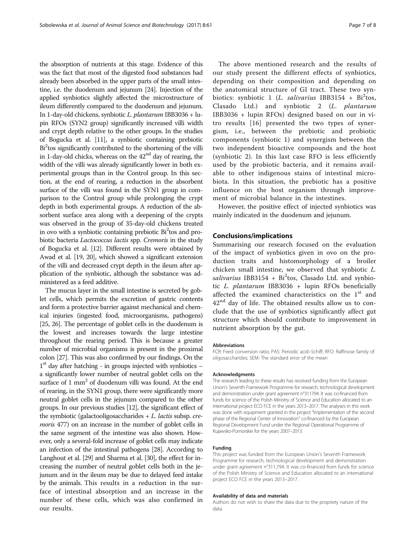the absorption of nutrients at this stage. Evidence of this was the fact that most of the digested food substances had already been absorbed in the upper parts of the small intestine, i.e. the duodenum and jejunum [[24](#page-7-0)]. Injection of the applied synbiotics slightly affected the microstructure of ileum differently compared to the duodenum and jejunum. In 1-day-old chickens, synbiotic L. plantarum IBB3036 + lupin RFOs (SYN2 group) significantly increased villi width and crypt depth relative to the other groups. In the studies of Bogucka et al. [[11](#page-7-0)], a synbiotic containing prebiotic Bi<sup>2</sup>tos significantly contributed to the shortening of the villi in 1-day-old chicks, whereas on the 42<sup>nd</sup> day of rearing, the width of the villi was already significantly lower in both experimental groups than in the Control group. In this section, at the end of rearing, a reduction in the absorbent surface of the villi was found in the SYN1 group in comparison to the Control group while prolonging the crypt depth in both experimental groups. A reduction of the absorbent surface area along with a deepening of the crypts was observed in the group of 35-day-old chickens treated in ovo with a synbiotic containing prebiotic Bi<sup>2</sup>tos and probiotic bacteria Lactococcus lactis spp. Cremoris in the study of Bogucka et al. [\[12\]](#page-7-0). Different results were obtained by Awad et al. [[19](#page-7-0), [20](#page-7-0)], which showed a significant extension of the villi and decreased crypt depth in the ileum after application of the synbiotic, although the substance was administered as a feed additive.

The mucus layer in the small intestine is secreted by goblet cells, which permits the excretion of gastric contents and form a protective barrier against mechanical and chemical injuries (ingested food, microorganisms, pathogens) [[25](#page-7-0), [26\]](#page-7-0). The percentage of goblet cells in the duodenum is the lowest and increases towards the large intestine throughout the rearing period. This is because a greater number of microbial organisms is present in the proximal colon [\[27](#page-7-0)]. This was also confirmed by our findings. On the  $1<sup>st</sup>$  day after hatching - in groups injected with synbiotics – a significantly lower number of neutral goblet cells on the surface of  $1 \text{ mm}^2$  of duodenum villi was found. At the end of rearing, in the SYN1 group, there were significantly more neutral goblet cells in the jejunum compared to the other groups. In our previous studies [\[12\]](#page-7-0), the significant effect of the symbiotic (galactooligosaccharides  $+ L$ . *lactis* subsp. *cremoris* 477) on an increase in the number of goblet cells in the same segment of the intestine was also shown. However, only a several-fold increase of goblet cells may indicate an infection of the intestinal pathogens [\[28\]](#page-7-0). According to Langhout et al. [\[29\]](#page-7-0) and Sharma et al. [\[30](#page-7-0)], the effect for increasing the number of neutral goblet cells both in the jejunum and in the ileum may be due to delayed feed intake by the animals. This results in a reduction in the surface of intestinal absorption and an increase in the number of these cells, which was also confirmed in our results.

The above mentioned research and the results of our study present the different effects of synbiotics, depending on their composition and depending on the anatomical structure of GI tract. These two synbiotics: synbiotic 1 (L. salivarius IBB3154 + Bi2tos, Clasado Ltd.) and synbiotic 2 (L. plantarum IBB3036 + lupin RFOs) designed based on our in vitro results [[16](#page-7-0)] presented the two types of synergism, i.e., between the prebiotic and probiotic components (synbiotic 1) and synergism between the two independent bioactive compounds and the host (synbiotic 2). In this last case RFO is less efficiently used by the probiotic bacteria, and it remains available to other indigenous stains of intestinal microbiota. In this situation, the prebiotic has a positive influence on the host organism through improvement of microbial balance in the intestines.

However, the positive effect of injected synbiotics was mainly indicated in the duodenum and jejunum.

## Conclusions/implications

Summarising our research focused on the evaluation of the impact of synbiotics given in ovo on the production traits and histomorphology of a broiler chicken small intestine, we observed that synbiotic L.  $salivarius$  IBB3154 + Bi $2$ tos, Clasado Ltd. and synbiotic L. plantarum IBB3036 + lupin RFOs beneficially affected the examined characteristics on the  $1<sup>st</sup>$  and  $42<sup>nd</sup>$  day of life. The obtained results allow us to conclude that the use of synbiotics significantly affect gut structure which should contribute to improvement in nutrient absorption by the gut.

#### Abbreviations

FCR: Feed conversion ratio; PAS: Periodic acid–Schiff; RFO: Raffinose family of oligosaccharides; SEM: The standard error of the mean

#### Acknowledgments

The research leading to these results has received funding from the European Union's Seventh Framework Programme for research, technological development and demonstration under grant agreement n°311794. It was co-financed from funds for science of the Polish Ministry of Science and Education allocated to an international project ECO FCE in the years 2013–2017. The analyses in this work was done with equipment granted in the project "Implementation of the second phase of the Regional Center of Innovation" co-financed by the European Regional Development Fund under the Regional Operational Programme of Kujawsko-Pomorskie for the years 2007–2013.

#### Funding

This project was funded from the European Union's Seventh Framework Programme for research, technological development and demonstration under grant agreement n°311,794. It was co-financed from funds for science of the Polish Ministry of Science and Education allocated to an international project ECO FCE in the years 2013–2017.

#### Availability of data and materials

Authors do not wish to share the data due to the propriety nature of the data.